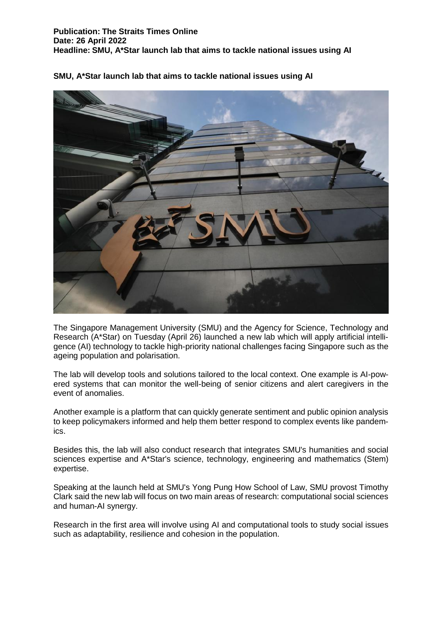

## **SMU, A\*Star launch lab that aims to tackle national issues using AI**

The Singapore Management University (SMU) and the Agency for Science, Technology and Research (A\*Star) on Tuesday (April 26) launched a new lab which will apply artificial intelligence (AI) technology to tackle high-priority national challenges facing Singapore such as the ageing population and polarisation.

The lab will develop tools and solutions tailored to the local context. One example is AI-powered systems that can monitor the well-being of senior citizens and alert caregivers in the event of anomalies.

Another example is a platform that can quickly generate sentiment and public opinion analysis to keep policymakers informed and help them better respond to complex events like pandemics.

Besides this, the lab will also conduct research that integrates SMU's humanities and social sciences expertise and A\*Star's science, technology, engineering and mathematics (Stem) expertise.

Speaking at the launch held at SMU's Yong Pung How School of Law, SMU provost Timothy Clark said the new lab will focus on two main areas of research: computational social sciences and human-AI synergy.

Research in the first area will involve using AI and computational tools to study social issues such as adaptability, resilience and cohesion in the population.